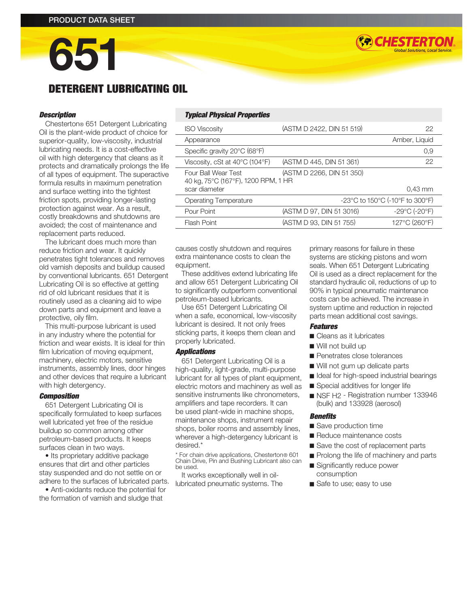# 651 DETERGENT LUBRICATING OIL

#### *Description*

Chesterton® 651 Detergent Lubricating Oil is the plant-wide product of choice for superior-quality, low-viscosity, industrial lubricating needs. It is a cost-effective oil with high detergency that cleans as it protects and dramatically prolongs the life of all types of equipment. The superactive formula results in maximum penetration and surface wetting into the tightest friction spots, providing longer-lasting protection against wear. As a result, costly breakdowns and shutdowns are avoided; the cost of maintenance and replacement parts reduced.

The lubricant does much more than reduce friction and wear. It quickly penetrates tight tolerances and removes old varnish deposits and buildup caused by conventional lubricants. 651 Detergent Lubricating Oil is so effective at getting rid of old lubricant residues that it is routinely used as a cleaning aid to wipe down parts and equipment and leave a protective, oily film.

This multi-purpose lubricant is used in any industry where the potential for friction and wear exists. It is ideal for thin film lubrication of moving equipment, machinery, electric motors, sensitive instruments, assembly lines, door hinges and other devices that require a lubricant with high detergency.

#### *Composition*

651 Detergent Lubricating Oil is specifically formulated to keep surfaces well lubricated yet free of the residue buildup so common among other petroleum-based products. It keeps surfaces clean in two ways.

• Its proprietary additive package ensures that dirt and other particles stay suspended and do not settle on or adhere to the surfaces of lubricated parts.

• Anti-oxidants reduce the potential for the formation of varnish and sludge that

### *Typical Physical Properties*

| <b>ISO Viscosity</b>                                              | (ASTM D 2422, DIN 51 519) | 22                                 |
|-------------------------------------------------------------------|---------------------------|------------------------------------|
| Appearance                                                        |                           | Amber, Liquid                      |
| Specific gravity 20°C (68°F)                                      |                           | 0,9                                |
| Viscosity, cSt at 40°C (104°F)                                    | (ASTM D 445, DIN 51 361)  | 22                                 |
| <b>Four Ball Wear Test</b><br>40 kg, 75°C (167°F), 1200 RPM, 1 HR | (ASTM D 2266, DIN 51 350) |                                    |
| scar diameter                                                     |                           | $0.43$ mm                          |
| <b>Operating Temperature</b>                                      |                           | -23°C to 150°C (-10°F to 300°F)    |
| Pour Point                                                        | (ASTM D 97, DIN 51 3016)  | $-29^{\circ}$ C (-20 $^{\circ}$ F) |
| <b>Flash Point</b>                                                | (ASTM D 93, DIN 51 755)   | 127°C (260°F)                      |
|                                                                   |                           |                                    |

causes costly shutdown and requires extra maintenance costs to clean the equipment.

These additives extend lubricating life and allow 651 Detergent Lubricating Oil to significantly outperform conventional petroleum-based lubricants.

Use 651 Detergent Lubricating Oil when a safe, economical, low-viscosity lubricant is desired. It not only frees sticking parts, it keeps them clean and properly lubricated.

#### *Applications*

651 Detergent Lubricating Oil is a high-quality, light-grade, multi-purpose lubricant for all types of plant equipment, electric motors and machinery as well as sensitive instruments like chronometers, amplifiers and tape recorders. It can be used plant-wide in machine shops, maintenance shops, instrument repair shops, boiler rooms and assembly lines, wherever a high-detergency lubricant is desired.\*

\* For chain drive applications, Chesterton® 601 Chain Drive, Pin and Bushing Lubricant also can be used.

It works exceptionally well in oillubricated pneumatic systems. The primary reasons for failure in these systems are sticking pistons and worn seals. When 651 Detergent Lubricating Oil is used as a direct replacement for the standard hydraulic oil, reductions of up to 90% in typical pneumatic maintenance costs can be achieved. The increase in system uptime and reduction in rejected parts mean additional cost savings.

#### *Features*

- Cleans as it lubricates
- Will not build up
- Penetrates close tolerances
- Will not gum up delicate parts
- Ideal for high-speed industrial bearings
- Special additives for longer life
- NSF H2 Registration number 133946 (bulk) and 133928 (aerosol)

#### *Benefits*

- Save production time
- Reduce maintenance costs
- Save the cost of replacement parts
- Prolong the life of machinery and parts
- Significantly reduce power consumption
- Safe to use; easy to use